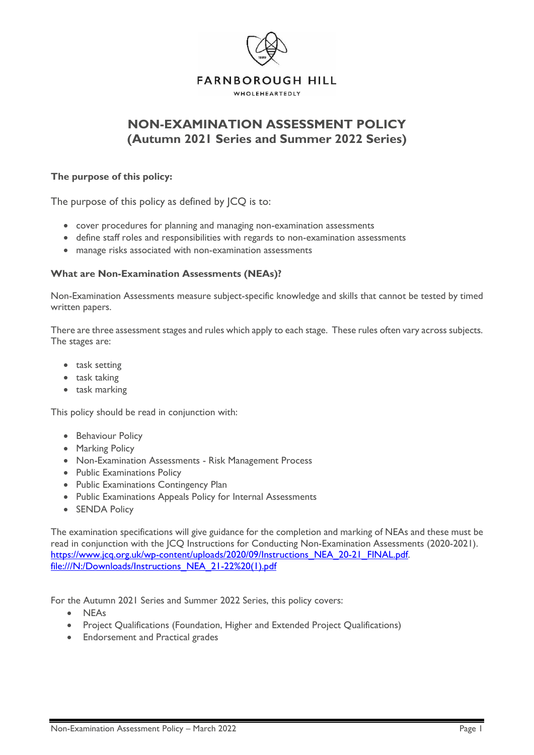

## **NON-EXAMINATION ASSESSMENT POLICY (Autumn 2021 Series and Summer 2022 Series)**

#### **The purpose of this policy:**

The purpose of this policy as defined by JCQ is to:

- cover procedures for planning and managing non-examination assessments
- define staff roles and responsibilities with regards to non-examination assessments
- manage risks associated with non-examination assessments

#### **What are Non-Examination Assessments (NEAs)?**

Non-Examination Assessments measure subject-specific knowledge and skills that cannot be tested by timed written papers.

There are three assessment stages and rules which apply to each stage. These rules often vary across subjects. The stages are:

- task setting
- task taking
- task marking

This policy should be read in conjunction with:

- Behaviour Policy
- Marking Policy
- Non-Examination Assessments Risk Management Process
- Public Examinations Policy
- Public Examinations Contingency Plan
- Public Examinations Appeals Policy for Internal Assessments
- SENDA Policy

The examination specifications will give guidance for the completion and marking of NEAs and these must be read in conjunction with the  $|CQ|$  Instructions for Conducting Non-Examination Assessments (2020-2021). [https://www.jcq.org.uk/wp-content/uploads/2020/09/Instructions\\_NEA\\_20-21\\_FINAL.pdf.](https://www.jcq.org.uk/wp-content/uploads/2020/09/Instructions_NEA_20-21_FINAL.pdf) [file:///N:/Downloads/Instructions\\_NEA\\_21-22%20\(1\).pdf](file://///FHS-fs01/non-teaching%20staff$/HMSec/Downloads/Instructions_NEA_21-22%20(1).pdf)

For the Autumn 2021 Series and Summer 2022 Series, this policy covers:

- NEAs
- Project Qualifications (Foundation, Higher and Extended Project Qualifications)
- Endorsement and Practical grades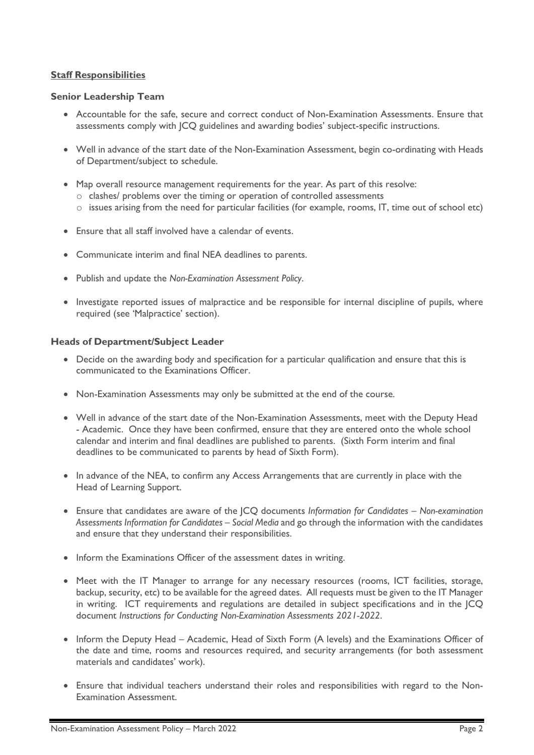#### **Staff Responsibilities**

#### **Senior Leadership Team**

- Accountable for the safe, secure and correct conduct of Non-Examination Assessments. Ensure that assessments comply with JCQ guidelines and awarding bodies' subject-specific instructions.
- Well in advance of the start date of the Non-Examination Assessment, begin co-ordinating with Heads of Department/subject to schedule.
- Map overall resource management requirements for the year. As part of this resolve:
	- o clashes/ problems over the timing or operation of controlled assessments
	- o issues arising from the need for particular facilities (for example, rooms, IT, time out of school etc)
- Ensure that all staff involved have a calendar of events.
- Communicate interim and final NEA deadlines to parents.
- Publish and update the *Non-Examination Assessment Policy*.
- Investigate reported issues of malpractice and be responsible for internal discipline of pupils, where required (see 'Malpractice' section).

#### **Heads of Department/Subject Leader**

- Decide on the awarding body and specification for a particular qualification and ensure that this is communicated to the Examinations Officer.
- Non-Examination Assessments may only be submitted at the end of the course.
- Well in advance of the start date of the Non-Examination Assessments, meet with the Deputy Head - Academic. Once they have been confirmed, ensure that they are entered onto the whole school calendar and interim and final deadlines are published to parents. (Sixth Form interim and final deadlines to be communicated to parents by head of Sixth Form).
- In advance of the NEA, to confirm any Access Arrangements that are currently in place with the Head of Learning Support.
- Ensure that candidates are aware of the JCQ documents *Information for Candidates – Non-examination Assessments Information for Candidates – Social Media* and go through the information with the candidates and ensure that they understand their responsibilities.
- Inform the Examinations Officer of the assessment dates in writing.
- Meet with the IT Manager to arrange for any necessary resources (rooms, ICT facilities, storage, backup, security, etc) to be available for the agreed dates. All requests must be given to the IT Manager in writing. ICT requirements and regulations are detailed in subject specifications and in the JCQ document *Instructions for Conducting Non-Examination Assessments 2021-2022*.
- Inform the Deputy Head Academic, Head of Sixth Form (A levels) and the Examinations Officer of the date and time, rooms and resources required, and security arrangements (for both assessment materials and candidates' work).
- Ensure that individual teachers understand their roles and responsibilities with regard to the Non-Examination Assessment.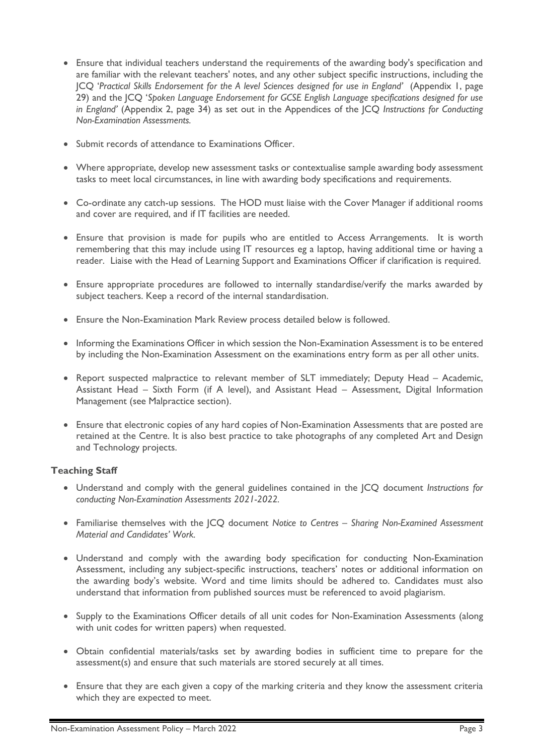- Ensure that individual teachers understand the requirements of the awarding body's specification and are familiar with the relevant teachers' notes, and any other subject specific instructions, including the JCQ '*Practical Skills Endorsement for the A level Sciences designed for use in England'* (Appendix 1, page 29) and the JCQ '*Spoken Language Endorsement for GCSE English Language specifications designed for use in England'* (Appendix 2, page 34) as set out in the Appendices of the JCQ *Instructions for Conducting Non-Examination Assessments.*
- Submit records of attendance to Examinations Officer.
- Where appropriate, develop new assessment tasks or contextualise sample awarding body assessment tasks to meet local circumstances, in line with awarding body specifications and requirements.
- Co-ordinate any catch-up sessions. The HOD must liaise with the Cover Manager if additional rooms and cover are required, and if IT facilities are needed.
- Ensure that provision is made for pupils who are entitled to Access Arrangements. It is worth remembering that this may include using IT resources eg a laptop, having additional time or having a reader. Liaise with the Head of Learning Support and Examinations Officer if clarification is required.
- Ensure appropriate procedures are followed to internally standardise/verify the marks awarded by subject teachers. Keep a record of the internal standardisation.
- Ensure the Non-Examination Mark Review process detailed below is followed.
- Informing the Examinations Officer in which session the Non-Examination Assessment is to be entered by including the Non-Examination Assessment on the examinations entry form as per all other units.
- Report suspected malpractice to relevant member of SLT immediately; Deputy Head Academic, Assistant Head – Sixth Form (if A level), and Assistant Head – Assessment, Digital Information Management (see Malpractice section).
- Ensure that electronic copies of any hard copies of Non-Examination Assessments that are posted are retained at the Centre. It is also best practice to take photographs of any completed Art and Design and Technology projects.

### **Teaching Staff**

- Understand and comply with the general guidelines contained in the JCQ document *Instructions for conducting Non-Examination Assessments 2021-2022.*
- Familiarise themselves with the JCQ document *Notice to Centres – Sharing Non-Examined Assessment Material and Candidates' Work.*
- Understand and comply with the awarding body specification for conducting Non-Examination Assessment, including any subject-specific instructions, teachers' notes or additional information on the awarding body's website. Word and time limits should be adhered to. Candidates must also understand that information from published sources must be referenced to avoid plagiarism.
- Supply to the Examinations Officer details of all unit codes for Non-Examination Assessments (along with unit codes for written papers) when requested.
- Obtain confidential materials/tasks set by awarding bodies in sufficient time to prepare for the assessment(s) and ensure that such materials are stored securely at all times.
- Ensure that they are each given a copy of the marking criteria and they know the assessment criteria which they are expected to meet.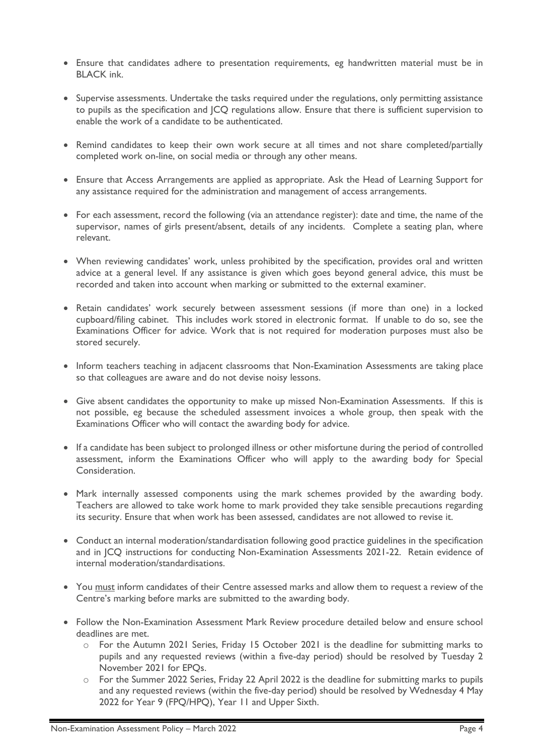- Ensure that candidates adhere to presentation requirements, eg handwritten material must be in BLACK ink.
- Supervise assessments. Undertake the tasks required under the regulations, only permitting assistance to pupils as the specification and JCQ regulations allow. Ensure that there is sufficient supervision to enable the work of a candidate to be authenticated.
- Remind candidates to keep their own work secure at all times and not share completed/partially completed work on-line, on social media or through any other means.
- Ensure that Access Arrangements are applied as appropriate. Ask the Head of Learning Support for any assistance required for the administration and management of access arrangements.
- For each assessment, record the following (via an attendance register): date and time, the name of the supervisor, names of girls present/absent, details of any incidents. Complete a seating plan, where relevant.
- When reviewing candidates' work, unless prohibited by the specification, provides oral and written advice at a general level. If any assistance is given which goes beyond general advice, this must be recorded and taken into account when marking or submitted to the external examiner.
- Retain candidates' work securely between assessment sessions (if more than one) in a locked cupboard/filing cabinet. This includes work stored in electronic format. If unable to do so, see the Examinations Officer for advice. Work that is not required for moderation purposes must also be stored securely.
- Inform teachers teaching in adjacent classrooms that Non-Examination Assessments are taking place so that colleagues are aware and do not devise noisy lessons.
- Give absent candidates the opportunity to make up missed Non-Examination Assessments. If this is not possible, eg because the scheduled assessment invoices a whole group, then speak with the Examinations Officer who will contact the awarding body for advice.
- If a candidate has been subject to prolonged illness or other misfortune during the period of controlled assessment, inform the Examinations Officer who will apply to the awarding body for Special Consideration.
- Mark internally assessed components using the mark schemes provided by the awarding body. Teachers are allowed to take work home to mark provided they take sensible precautions regarding its security. Ensure that when work has been assessed, candidates are not allowed to revise it.
- Conduct an internal moderation/standardisation following good practice guidelines in the specification and in JCQ instructions for conducting Non-Examination Assessments 2021-22. Retain evidence of internal moderation/standardisations.
- You must inform candidates of their Centre assessed marks and allow them to request a review of the Centre's marking before marks are submitted to the awarding body.
- Follow the Non-Examination Assessment Mark Review procedure detailed below and ensure school deadlines are met.
	- o For the Autumn 2021 Series, Friday 15 October 2021 is the deadline for submitting marks to pupils and any requested reviews (within a five-day period) should be resolved by Tuesday 2 November 2021 for EPQs.
	- o For the Summer 2022 Series, Friday 22 April 2022 is the deadline for submitting marks to pupils and any requested reviews (within the five-day period) should be resolved by Wednesday 4 May 2022 for Year 9 (FPQ/HPQ), Year 11 and Upper Sixth.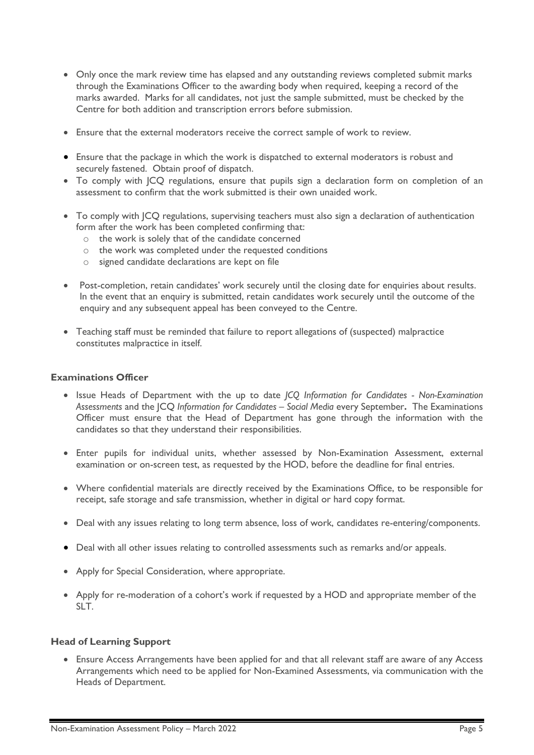- Only once the mark review time has elapsed and any outstanding reviews completed submit marks through the Examinations Officer to the awarding body when required, keeping a record of the marks awarded. Marks for all candidates, not just the sample submitted, must be checked by the Centre for both addition and transcription errors before submission.
- Ensure that the external moderators receive the correct sample of work to review.
- Ensure that the package in which the work is dispatched to external moderators is robust and securely fastened. Obtain proof of dispatch.
- To comply with JCQ regulations, ensure that pupils sign a declaration form on completion of an assessment to confirm that the work submitted is their own unaided work.
- To comply with JCQ regulations, supervising teachers must also sign a declaration of authentication form after the work has been completed confirming that:
	- o the work is solely that of the candidate concerned
	- o the work was completed under the requested conditions
	- o signed candidate declarations are kept on file
- Post-completion, retain candidates' work securely until the closing date for enquiries about results. In the event that an enquiry is submitted, retain candidates work securely until the outcome of the enquiry and any subsequent appeal has been conveyed to the Centre.
- Teaching staff must be reminded that failure to report allegations of (suspected) malpractice constitutes malpractice in itself.

#### **Examinations Officer**

- Issue Heads of Department with the up to date *JCQ Information for Candidates - Non-Examination Assessments* and the JCQ *Information for Candidates – Social Media* every September**.** The Examinations Officer must ensure that the Head of Department has gone through the information with the candidates so that they understand their responsibilities.
- Enter pupils for individual units, whether assessed by Non-Examination Assessment, external examination or on-screen test, as requested by the HOD, before the deadline for final entries.
- Where confidential materials are directly received by the Examinations Office, to be responsible for receipt, safe storage and safe transmission, whether in digital or hard copy format.
- Deal with any issues relating to long term absence, loss of work, candidates re-entering/components.
- Deal with all other issues relating to controlled assessments such as remarks and/or appeals.
- Apply for Special Consideration, where appropriate.
- Apply for re-moderation of a cohort's work if requested by a HOD and appropriate member of the SLT.

#### **Head of Learning Support**

• Ensure Access Arrangements have been applied for and that all relevant staff are aware of any Access Arrangements which need to be applied for Non-Examined Assessments, via communication with the Heads of Department.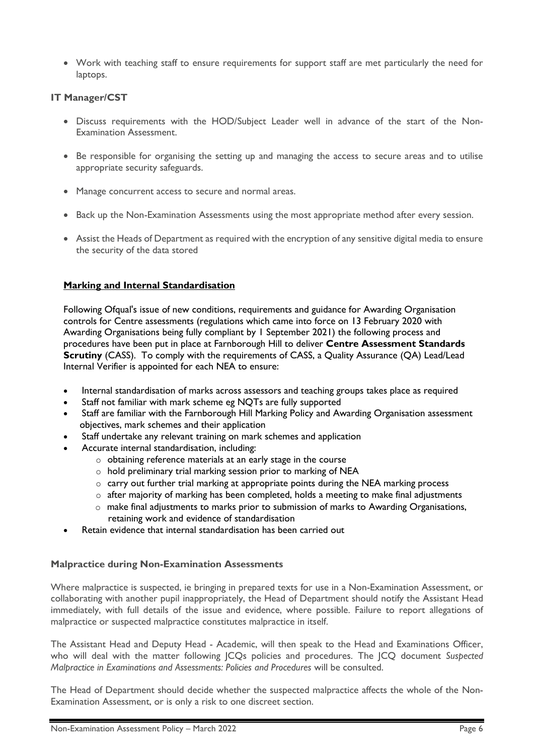• Work with teaching staff to ensure requirements for support staff are met particularly the need for laptops.

#### **IT Manager/CST**

- Discuss requirements with the HOD/Subject Leader well in advance of the start of the Non-Examination Assessment.
- Be responsible for organising the setting up and managing the access to secure areas and to utilise appropriate security safeguards.
- Manage concurrent access to secure and normal areas.
- Back up the Non-Examination Assessments using the most appropriate method after every session.
- Assist the Heads of Department as required with the encryption of any sensitive digital media to ensure the security of the data stored

#### **Marking and Internal Standardisation**

Following Ofqual's issue of new conditions, requirements and guidance for Awarding Organisation controls for Centre assessments (regulations which came into force on 13 February 2020 with Awarding Organisations being fully compliant by 1 September 2021) the following process and procedures have been put in place at Farnborough Hill to deliver **Centre Assessment Standards Scrutiny** (CASS). To comply with the requirements of CASS, a Quality Assurance (QA) Lead/Lead Internal Verifier is appointed for each NEA to ensure:

- Internal standardisation of marks across assessors and teaching groups takes place as required
- Staff not familiar with mark scheme eg NQTs are fully supported
- Staff are familiar with the Farnborough Hill Marking Policy and Awarding Organisation assessment objectives, mark schemes and their application
- Staff undertake any relevant training on mark schemes and application
- Accurate internal standardisation, including:
	- o obtaining reference materials at an early stage in the course
	- o hold preliminary trial marking session prior to marking of NEA
	- $\circ$  carry out further trial marking at appropriate points during the NEA marking process
	- o after majority of marking has been completed, holds a meeting to make final adjustments
	- o make final adjustments to marks prior to submission of marks to Awarding Organisations, retaining work and evidence of standardisation
- Retain evidence that internal standardisation has been carried out

#### **Malpractice during Non-Examination Assessments**

Where malpractice is suspected, ie bringing in prepared texts for use in a Non-Examination Assessment, or collaborating with another pupil inappropriately, the Head of Department should notify the Assistant Head immediately, with full details of the issue and evidence, where possible. Failure to report allegations of malpractice or suspected malpractice constitutes malpractice in itself.

The Assistant Head and Deputy Head - Academic, will then speak to the Head and Examinations Officer, who will deal with the matter following JCQs policies and procedures. The JCQ document *Suspected Malpractice in Examinations and Assessments: Policies and Procedures* will be consulted.

The Head of Department should decide whether the suspected malpractice affects the whole of the Non-Examination Assessment, or is only a risk to one discreet section.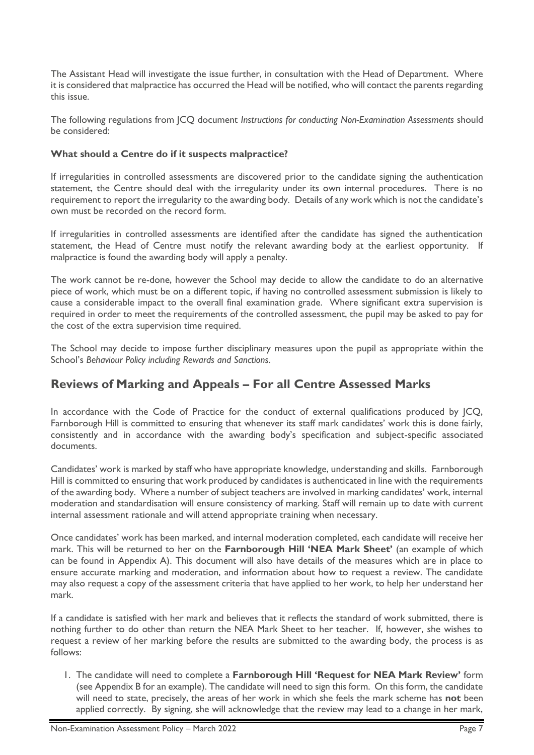The Assistant Head will investigate the issue further, in consultation with the Head of Department. Where it is considered that malpractice has occurred the Head will be notified, who will contact the parents regarding this issue.

The following regulations from JCQ document *Instructions for conducting Non-Examination Assessments* should be considered:

#### **What should a Centre do if it suspects malpractice?**

If irregularities in controlled assessments are discovered prior to the candidate signing the authentication statement, the Centre should deal with the irregularity under its own internal procedures. There is no requirement to report the irregularity to the awarding body. Details of any work which is not the candidate's own must be recorded on the record form.

If irregularities in controlled assessments are identified after the candidate has signed the authentication statement, the Head of Centre must notify the relevant awarding body at the earliest opportunity. If malpractice is found the awarding body will apply a penalty.

The work cannot be re-done, however the School may decide to allow the candidate to do an alternative piece of work, which must be on a different topic, if having no controlled assessment submission is likely to cause a considerable impact to the overall final examination grade. Where significant extra supervision is required in order to meet the requirements of the controlled assessment, the pupil may be asked to pay for the cost of the extra supervision time required.

The School may decide to impose further disciplinary measures upon the pupil as appropriate within the School's *Behaviour Policy including Rewards and Sanctions*.

## **Reviews of Marking and Appeals – For all Centre Assessed Marks**

In accordance with the Code of Practice for the conduct of external qualifications produced by  $|CQ$ , Farnborough Hill is committed to ensuring that whenever its staff mark candidates' work this is done fairly, consistently and in accordance with the awarding body's specification and subject-specific associated documents.

Candidates' work is marked by staff who have appropriate knowledge, understanding and skills. Farnborough Hill is committed to ensuring that work produced by candidates is authenticated in line with the requirements of the awarding body. Where a number of subject teachers are involved in marking candidates' work, internal moderation and standardisation will ensure consistency of marking. Staff will remain up to date with current internal assessment rationale and will attend appropriate training when necessary.

Once candidates' work has been marked, and internal moderation completed, each candidate will receive her mark. This will be returned to her on the **Farnborough Hill 'NEA Mark Sheet'** (an example of which can be found in Appendix A). This document will also have details of the measures which are in place to ensure accurate marking and moderation, and information about how to request a review. The candidate may also request a copy of the assessment criteria that have applied to her work, to help her understand her mark.

If a candidate is satisfied with her mark and believes that it reflects the standard of work submitted, there is nothing further to do other than return the NEA Mark Sheet to her teacher. If, however, she wishes to request a review of her marking before the results are submitted to the awarding body, the process is as follows:

1. The candidate will need to complete a **Farnborough Hill 'Request for NEA Mark Review'** form (see Appendix B for an example). The candidate will need to sign this form. On this form, the candidate will need to state, precisely, the areas of her work in which she feels the mark scheme has **not** been applied correctly. By signing, she will acknowledge that the review may lead to a change in her mark,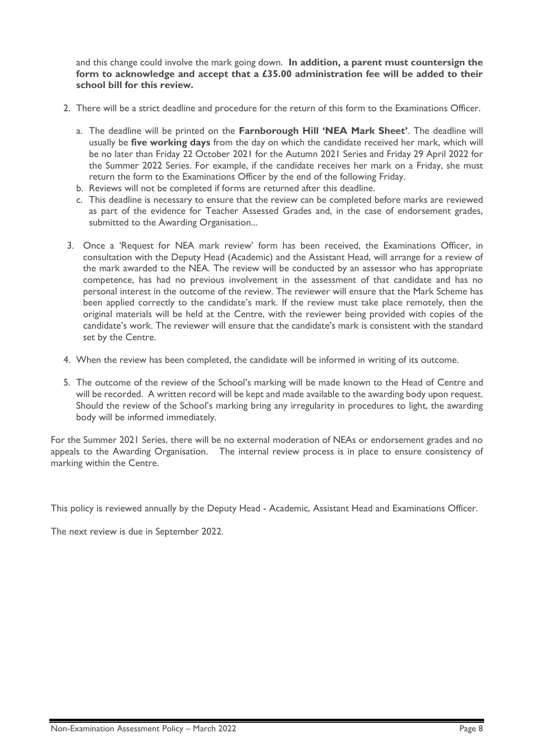and this change could involve the mark going down. **In addition, a parent must countersign the form to acknowledge and accept that a £35.00 administration fee will be added to their school bill for this review.**

- 2. There will be a strict deadline and procedure for the return of this form to the Examinations Officer.
	- a. The deadline will be printed on the **Farnborough Hill 'NEA Mark Sheet'**. The deadline will usually be **five working days** from the day on which the candidate received her mark, which will be no later than Friday 22 October 2021 for the Autumn 2021 Series and Friday 29 April 2022 for the Summer 2022 Series. For example, if the candidate receives her mark on a Friday, she must return the form to the Examinations Officer by the end of the following Friday.
	- b. Reviews will not be completed if forms are returned after this deadline.
	- c. This deadline is necessary to ensure that the review can be completed before marks are reviewed as part of the evidence for Teacher Assessed Grades and, in the case of endorsement grades, submitted to the Awarding Organisation...
- 3. Once a 'Request for NEA mark review' form has been received, the Examinations Officer, in consultation with the Deputy Head (Academic) and the Assistant Head, will arrange for a review of the mark awarded to the NEA. The review will be conducted by an assessor who has appropriate competence, has had no previous involvement in the assessment of that candidate and has no personal interest in the outcome of the review. The reviewer will ensure that the Mark Scheme has been applied correctly to the candidate's mark. If the review must take place remotely, then the original materials will be held at the Centre, with the reviewer being provided with copies of the candidate's work. The reviewer will ensure that the candidate's mark is consistent with the standard set by the Centre.
- 4. When the review has been completed, the candidate will be informed in writing of its outcome.
- 5. The outcome of the review of the School's marking will be made known to the Head of Centre and will be recorded. A written record will be kept and made available to the awarding body upon request. Should the review of the School's marking bring any irregularity in procedures to light, the awarding body will be informed immediately.

For the Summer 2021 Series, there will be no external moderation of NEAs or endorsement grades and no appeals to the Awarding Organisation. The internal review process is in place to ensure consistency of marking within the Centre.

This policy is reviewed annually by the Deputy Head - Academic, Assistant Head and Examinations Officer.

The next review is due in September 2022.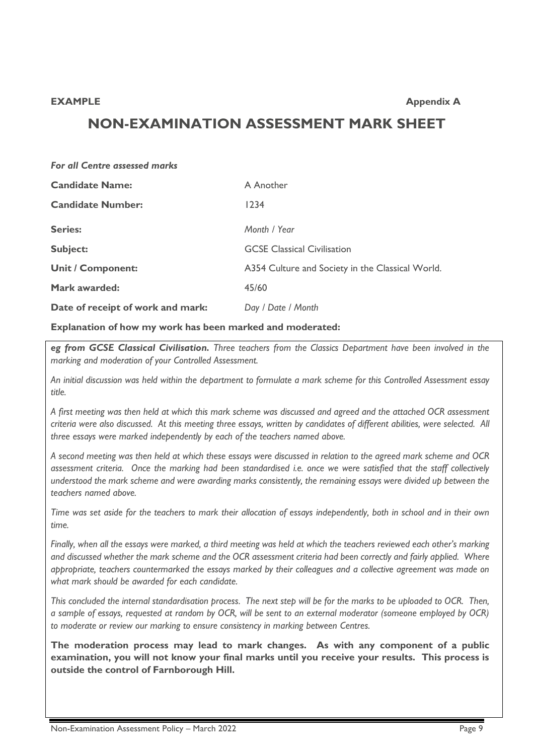# **NON-EXAMINATION ASSESSMENT MARK SHEET**

| For all Centre assessed marks     |                                                  |
|-----------------------------------|--------------------------------------------------|
| <b>Candidate Name:</b>            | A Another                                        |
| <b>Candidate Number:</b>          | 1234                                             |
| <b>Series:</b>                    | Month / Year                                     |
| <b>Subject:</b>                   | <b>GCSE Classical Civilisation</b>               |
| <b>Unit / Component:</b>          | A354 Culture and Society in the Classical World. |
| <b>Mark awarded:</b>              | 45/60                                            |
| Date of receipt of work and mark: | Day / Date / Month                               |

#### **Explanation of how my work has been marked and moderated:**

*eg from GCSE Classical Civilisation. Three teachers from the Classics Department have been involved in the marking and moderation of your Controlled Assessment.*

*An initial discussion was held within the department to formulate a mark scheme for this Controlled Assessment essay title.*

*A first meeting was then held at which this mark scheme was discussed and agreed and the attached OCR assessment criteria were also discussed. At this meeting three essays, written by candidates of different abilities, were selected. All three essays were marked independently by each of the teachers named above.*

*A second meeting was then held at which these essays were discussed in relation to the agreed mark scheme and OCR assessment criteria. Once the marking had been standardised i.e. once we were satisfied that the staff collectively understood the mark scheme and were awarding marks consistently, the remaining essays were divided up between the teachers named above.*

*Time was set aside for the teachers to mark their allocation of essays independently, both in school and in their own time.*

*Finally, when all the essays were marked, a third meeting was held at which the teachers reviewed each other's marking and discussed whether the mark scheme and the OCR assessment criteria had been correctly and fairly applied. Where appropriate, teachers countermarked the essays marked by their colleagues and a collective agreement was made on what mark should be awarded for each candidate.*

*This concluded the internal standardisation process. The next step will be for the marks to be uploaded to OCR. Then, a sample of essays, requested at random by OCR, will be sent to an external moderator (someone employed by OCR) to moderate or review our marking to ensure consistency in marking between Centres.*

**The moderation process may lead to mark changes. As with any component of a public examination, you will not know your final marks until you receive your results. This process is outside the control of Farnborough Hill.**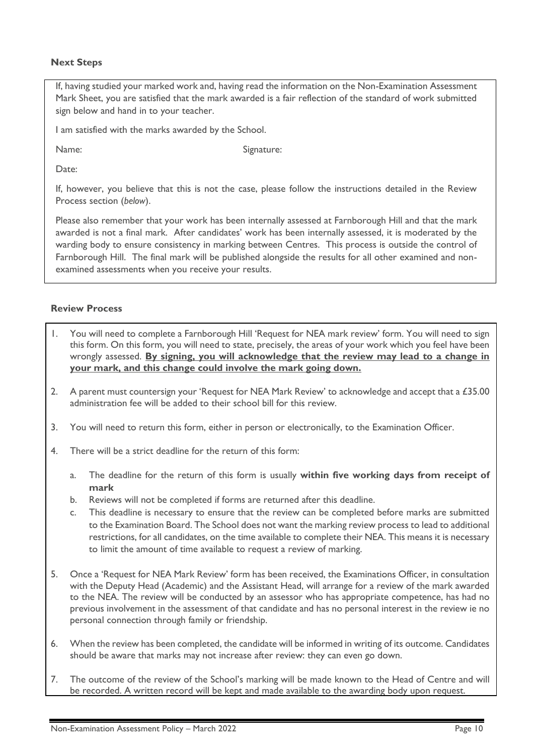#### **Next Steps**

If, having studied your marked work and, having read the information on the Non-Examination Assessment Mark Sheet, you are satisfied that the mark awarded is a fair reflection of the standard of work submitted sign below and hand in to your teacher.

I am satisfied with the marks awarded by the School.

Name: Signature:

Date<sup>.</sup>

If, however, you believe that this is not the case, please follow the instructions detailed in the Review Process section (*below*).

Please also remember that your work has been internally assessed at Farnborough Hill and that the mark awarded is not a final mark. After candidates' work has been internally assessed, it is moderated by the warding body to ensure consistency in marking between Centres. This process is outside the control of Farnborough Hill. The final mark will be published alongside the results for all other examined and nonexamined assessments when you receive your results.

#### **Review Process**

- 1. You will need to complete a Farnborough Hill 'Request for NEA mark review' form. You will need to sign this form. On this form, you will need to state, precisely, the areas of your work which you feel have been wrongly assessed. **By signing, you will acknowledge that the review may lead to a change in your mark, and this change could involve the mark going down.**
- 2. A parent must countersign your 'Request for NEA Mark Review' to acknowledge and accept that a £35.00 administration fee will be added to their school bill for this review.
- 3. You will need to return this form, either in person or electronically, to the Examination Officer.
- 4. There will be a strict deadline for the return of this form:
	- a. The deadline for the return of this form is usually **within five working days from receipt of mark**
	- b. Reviews will not be completed if forms are returned after this deadline.
	- c. This deadline is necessary to ensure that the review can be completed before marks are submitted to the Examination Board. The School does not want the marking review process to lead to additional restrictions, for all candidates, on the time available to complete their NEA. This means it is necessary to limit the amount of time available to request a review of marking.
- 5. Once a 'Request for NEA Mark Review' form has been received, the Examinations Officer, in consultation with the Deputy Head (Academic) and the Assistant Head, will arrange for a review of the mark awarded to the NEA. The review will be conducted by an assessor who has appropriate competence, has had no previous involvement in the assessment of that candidate and has no personal interest in the review ie no personal connection through family or friendship.
- 6. When the review has been completed, the candidate will be informed in writing of its outcome. Candidates should be aware that marks may not increase after review: they can even go down.
- 7. The outcome of the review of the School's marking will be made known to the Head of Centre and will be recorded. A written record will be kept and made available to the awarding body upon request.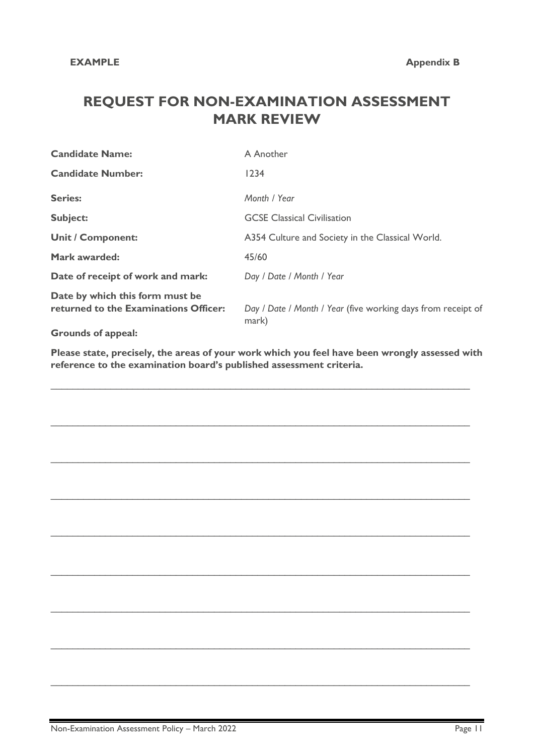# **REQUEST FOR NON-EXAMINATION ASSESSMENT MARK REVIEW**

| <b>Candidate Name:</b>                                                   | A Another                                                             |  |  |
|--------------------------------------------------------------------------|-----------------------------------------------------------------------|--|--|
| <b>Candidate Number:</b>                                                 | 1234                                                                  |  |  |
| <b>Series:</b>                                                           | Month / Year                                                          |  |  |
| <b>Subject:</b>                                                          | <b>GCSE Classical Civilisation</b>                                    |  |  |
| <b>Unit / Component:</b>                                                 | A354 Culture and Society in the Classical World.                      |  |  |
| <b>Mark awarded:</b>                                                     | 45/60                                                                 |  |  |
| Date of receipt of work and mark:                                        | Day / Date / Month / Year                                             |  |  |
| Date by which this form must be<br>returned to the Examinations Officer: | Day / Date / Month / Year (five working days from receipt of<br>mark) |  |  |
| <b>Grounds of appeal:</b>                                                |                                                                       |  |  |

**Please state, precisely, the areas of your work which you feel have been wrongly assessed with reference to the examination board's published assessment criteria.** 

 $\_$  , and the contribution of the contribution of the contribution of the contribution of the contribution of  $\mathcal{L}_\text{max}$ 

 $\_$  , and the contribution of the contribution of the contribution of the contribution of the contribution of  $\mathcal{L}_\text{max}$ 

 $\_$  ,  $\_$  ,  $\_$  ,  $\_$  ,  $\_$  ,  $\_$  ,  $\_$  ,  $\_$  ,  $\_$  ,  $\_$  ,  $\_$  ,  $\_$  ,  $\_$  ,  $\_$  ,  $\_$  ,  $\_$  ,  $\_$  ,  $\_$  ,  $\_$  ,  $\_$  ,  $\_$  ,  $\_$  ,  $\_$  ,  $\_$  ,  $\_$  ,  $\_$  ,  $\_$  ,  $\_$  ,  $\_$  ,  $\_$  ,  $\_$  ,  $\_$  ,  $\_$  ,  $\_$  ,  $\_$  ,  $\_$  ,  $\_$  ,

 $\_$  , and the contribution of the contribution of the contribution of the contribution of the contribution of  $\mathcal{L}_\text{max}$ 

 $\_$  ,  $\_$  ,  $\_$  ,  $\_$  ,  $\_$  ,  $\_$  ,  $\_$  ,  $\_$  ,  $\_$  ,  $\_$  ,  $\_$  ,  $\_$  ,  $\_$  ,  $\_$  ,  $\_$  ,  $\_$  ,  $\_$  ,  $\_$  ,  $\_$  ,  $\_$  ,  $\_$  ,  $\_$  ,  $\_$  ,  $\_$  ,  $\_$  ,  $\_$  ,  $\_$  ,  $\_$  ,  $\_$  ,  $\_$  ,  $\_$  ,  $\_$  ,  $\_$  ,  $\_$  ,  $\_$  ,  $\_$  ,  $\_$  ,

 $\_$  ,  $\_$  ,  $\_$  ,  $\_$  ,  $\_$  ,  $\_$  ,  $\_$  ,  $\_$  ,  $\_$  ,  $\_$  ,  $\_$  ,  $\_$  ,  $\_$  ,  $\_$  ,  $\_$  ,  $\_$  ,  $\_$  ,  $\_$  ,  $\_$  ,  $\_$  ,  $\_$  ,  $\_$  ,  $\_$  ,  $\_$  ,  $\_$  ,  $\_$  ,  $\_$  ,  $\_$  ,  $\_$  ,  $\_$  ,  $\_$  ,  $\_$  ,  $\_$  ,  $\_$  ,  $\_$  ,  $\_$  ,  $\_$  ,

 $\_$  , and the set of the set of the set of the set of the set of the set of the set of the set of the set of the set of the set of the set of the set of the set of the set of the set of the set of the set of the set of th

 $\_$  ,  $\_$  ,  $\_$  ,  $\_$  ,  $\_$  ,  $\_$  ,  $\_$  ,  $\_$  ,  $\_$  ,  $\_$  ,  $\_$  ,  $\_$  ,  $\_$  ,  $\_$  ,  $\_$  ,  $\_$  ,  $\_$  ,  $\_$  ,  $\_$  ,  $\_$  ,  $\_$  ,  $\_$  ,  $\_$  ,  $\_$  ,  $\_$  ,  $\_$  ,  $\_$  ,  $\_$  ,  $\_$  ,  $\_$  ,  $\_$  ,  $\_$  ,  $\_$  ,  $\_$  ,  $\_$  ,  $\_$  ,  $\_$  ,

 $\_$  , and the contribution of the contribution of the contribution of the contribution of the contribution of  $\mathcal{L}_\text{max}$